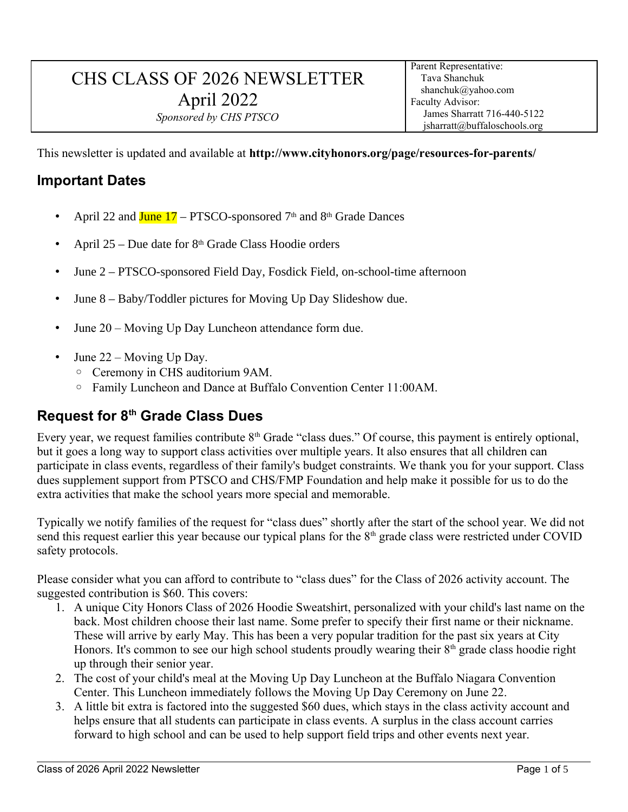# CHS CLASS OF 2026 NEWSLETTER April 2022 *Sponsored by CHS PTSCO*

This newsletter is updated and available at **http://www.cityhonors.org/page/resources-for-parents/**

#### **Important Dates**

- April 22 and  $J$ une 17 PTSCO-sponsored 7<sup>th</sup> and 8<sup>th</sup> Grade Dances
- April  $25 Due$  date for  $8<sup>th</sup>$  Grade Class Hoodie orders
- June 2 PTSCO-sponsored Field Day, Fosdick Field, on-school-time afternoon
- June 8 Baby/Toddler pictures for Moving Up Day Slideshow due.
- June 20 Moving Up Day Luncheon attendance form due.
- June 22 Moving Up Day.
	- Ceremony in CHS auditorium 9AM.
	- Family Luncheon and Dance at Buffalo Convention Center 11:00AM.

#### **Request for 8th Grade Class Dues**

Every year, we request families contribute  $8<sup>th</sup>$  Grade "class dues." Of course, this payment is entirely optional, but it goes a long way to support class activities over multiple years. It also ensures that all children can participate in class events, regardless of their family's budget constraints. We thank you for your support. Class dues supplement support from PTSCO and CHS/FMP Foundation and help make it possible for us to do the extra activities that make the school years more special and memorable.

Typically we notify families of the request for "class dues" shortly after the start of the school year. We did not send this request earlier this year because our typical plans for the  $8<sup>th</sup>$  grade class were restricted under COVID safety protocols.

Please consider what you can afford to contribute to "class dues" for the Class of 2026 activity account. The suggested contribution is \$60. This covers:

- 1. A unique City Honors Class of 2026 Hoodie Sweatshirt, personalized with your child's last name on the back. Most children choose their last name. Some prefer to specify their first name or their nickname. These will arrive by early May. This has been a very popular tradition for the past six years at City Honors. It's common to see our high school students proudly wearing their  $8<sup>th</sup>$  grade class hoodie right up through their senior year.
- 2. The cost of your child's meal at the Moving Up Day Luncheon at the Buffalo Niagara Convention Center. This Luncheon immediately follows the Moving Up Day Ceremony on June 22.
- 3. A little bit extra is factored into the suggested \$60 dues, which stays in the class activity account and helps ensure that all students can participate in class events. A surplus in the class account carries forward to high school and can be used to help support field trips and other events next year.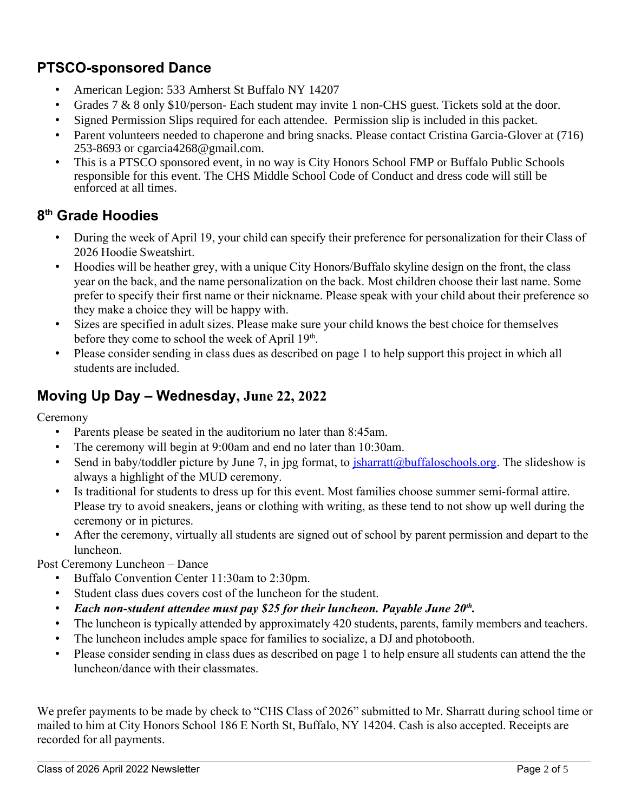## **PTSCO-sponsored Dance**

- American Legion: 533 Amherst St Buffalo NY 14207
- Grades 7 & 8 only \$10/person- Each student may invite 1 non-CHS guest. Tickets sold at the door.
- Signed Permission Slips required for each attendee. Permission slip is included in this packet.
- Parent volunteers needed to chaperone and bring snacks. Please contact Cristina Garcia-Glover at (716) 253-8693 or cgarcia4268@gmail.com.
- This is a PTSCO sponsored event, in no way is City Honors School FMP or Buffalo Public Schools responsible for this event. The CHS Middle School Code of Conduct and dress code will still be enforced at all times.

### **8 th Grade Hoodies**

- During the week of April 19, your child can specify their preference for personalization for their Class of 2026 Hoodie Sweatshirt.
- Hoodies will be heather grey, with a unique City Honors/Buffalo skyline design on the front, the class year on the back, and the name personalization on the back. Most children choose their last name. Some prefer to specify their first name or their nickname. Please speak with your child about their preference so they make a choice they will be happy with.
- Sizes are specified in adult sizes. Please make sure your child knows the best choice for themselves before they come to school the week of April 19<sup>th</sup>.
- Please consider sending in class dues as described on page 1 to help support this project in which all students are included.

### **Moving Up Day – Wednesday, June 22, 2022**

Ceremony

- Parents please be seated in the auditorium no later than 8:45am.
- The ceremony will begin at 9:00am and end no later than 10:30am.
- Send in baby/toddler picture by June 7, in jpg format, to  $\frac{\sin \theta}{\sin \theta}$  is  $\frac{\sin \theta}{\cos \theta}$ . The slideshow is always a highlight of the MUD ceremony.
- Is traditional for students to dress up for this event. Most families choose summer semi-formal attire. Please try to avoid sneakers, jeans or clothing with writing, as these tend to not show up well during the ceremony or in pictures.
- After the ceremony, virtually all students are signed out of school by parent permission and depart to the luncheon.

Post Ceremony Luncheon – Dance

- Buffalo Convention Center 11:30am to 2:30pm.
- Student class dues covers cost of the luncheon for the student.
- *Each non-student attendee must pay \$25 for their luncheon. Payable June 20th .*
- The luncheon is typically attended by approximately 420 students, parents, family members and teachers.
- The luncheon includes ample space for families to socialize, a DJ and photobooth.
- Please consider sending in class dues as described on page 1 to help ensure all students can attend the the luncheon/dance with their classmates.

We prefer payments to be made by check to "CHS Class of 2026" submitted to Mr. Sharratt during school time or mailed to him at City Honors School 186 E North St, Buffalo, NY 14204. Cash is also accepted. Receipts are recorded for all payments.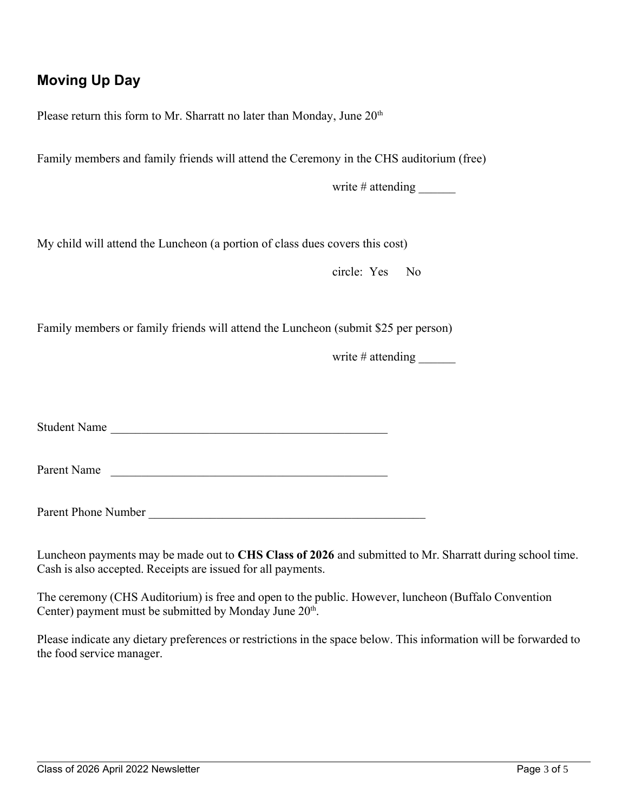# **Moving Up Day**

Please return this form to Mr. Sharratt no later than Monday, June  $20<sup>th</sup>$ 

Family members and family friends will attend the Ceremony in the CHS auditorium (free)

write # attending \_\_\_\_\_\_\_\_

My child will attend the Luncheon (a portion of class dues covers this cost)

circle: Yes No

Family members or family friends will attend the Luncheon (submit \$25 per person)

write  $\#$  attending

Student Name

Parent Name

Parent Phone Number

Luncheon payments may be made out to **CHS Class of 2026** and submitted to Mr. Sharratt during school time. Cash is also accepted. Receipts are issued for all payments.

The ceremony (CHS Auditorium) is free and open to the public. However, luncheon (Buffalo Convention Center) payment must be submitted by Monday June 20<sup>th</sup>.

Please indicate any dietary preferences or restrictions in the space below. This information will be forwarded to the food service manager.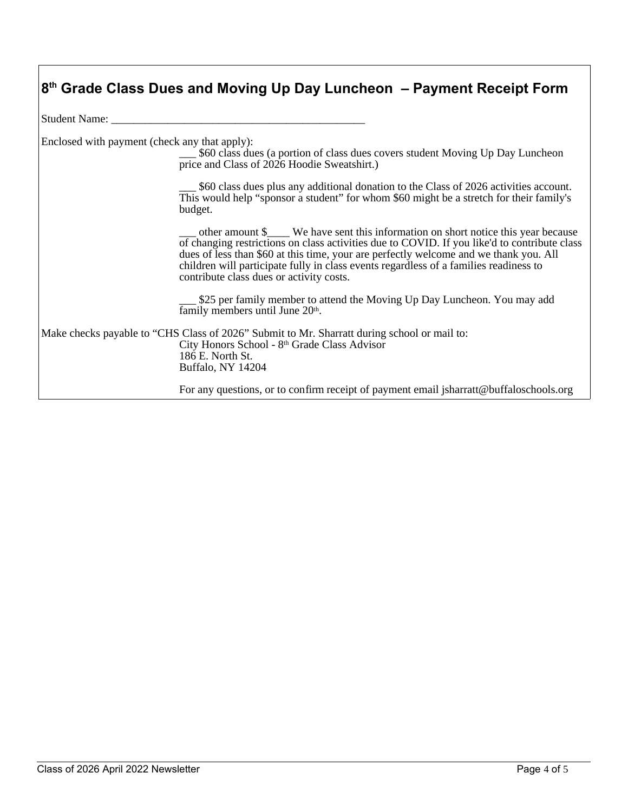|  |  |  |  | 8 <sup>th</sup> Grade Class Dues and Moving Up Day Luncheon - Payment Receipt Form |  |  |
|--|--|--|--|------------------------------------------------------------------------------------|--|--|
|  |  |  |  |                                                                                    |  |  |

Student Name:

Enclosed with payment (check any that apply):

\$60 class dues (a portion of class dues covers student Moving Up Day Luncheon price and Class of 2026 Hoodie Sweatshirt.)

\$60 class dues plus any additional donation to the Class of 2026 activities account. This would help "sponsor a student" for whom \$60 might be a stretch for their family's budget.

other amount \$ We have sent this information on short notice this year because of changing restrictions on class activities due to COVID. If you like'd to contribute class dues of less than \$60 at this time, your are perfectly welcome and we thank you. All children will participate fully in class events regardless of a families readiness to contribute class dues or activity costs.

\$25 per family member to attend the Moving Up Day Luncheon. You may add family members until June 20<sup>th</sup>.

Make checks payable to "CHS Class of 2026" Submit to Mr. Sharratt during school or mail to: City Honors School - 8th Grade Class Advisor 186 E. North St. Buffalo, NY 14204

For any questions, or to confirm receipt of payment email jsharratt@buffaloschools.org